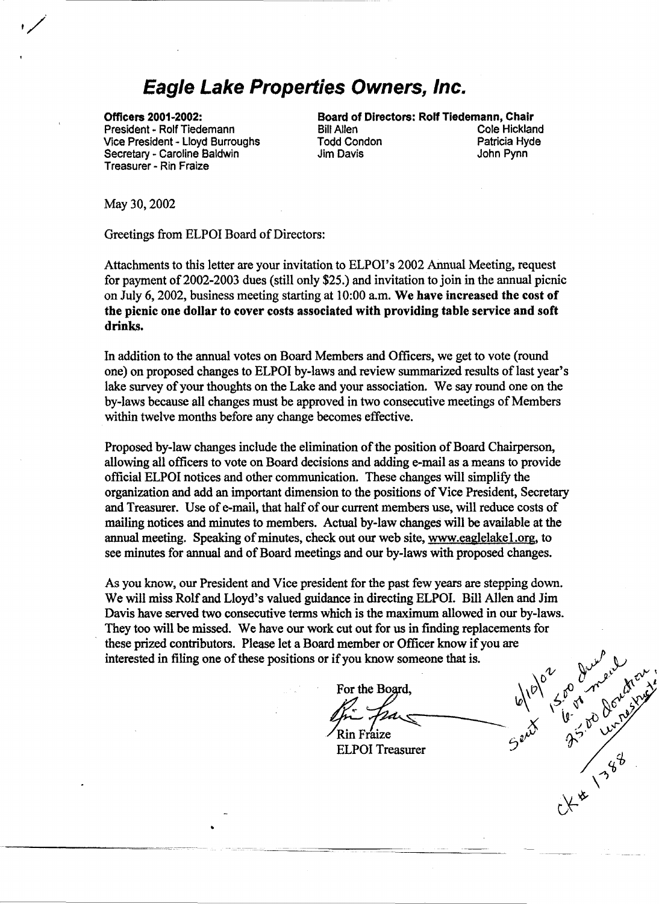## **Eagle Lake Properties Owners, Inc.**

Officers 2001-2002: President· Rolf Tiedemann Vice President - Lloyd Burroughs Secretary - Caroline Baldwin Treasurer - Rin Fraize

Board of Directors: Rolf Tiedemann, Chair **Cole Hickland** Todd Condon Patricia Hyde Jim Davis John Pynn

May 30, 2002

Greetings from ELPOI Board of Directors:

•

Attachments to this letter are your invitation to ELPOI's 2002 Annual Meeting, request for payment of 2002-2003 dues (still only \$25.) and invitation to join in the annual picnic on July 6, 2002, business meeting starting at 10:00 a.m. We have increased the cost of the picnic one dollar to cover costs associated with providing table service and soft drinks.

In addition to the annual votes on Board Members and Officers, we get to vote (round one) on proposed changes to ELPOI by-laws and review summarized results of last year's lake survey of your thoughts on the Lake and your association. We say round one on the by-laws because all changes must be approved in two consecutive meetings of Members within twelve months before any change becomes effective.

Proposed by-law changes include the elimination of the position of Board Chairperson, allowing all officers to vote on Board decisions and adding e-mail as a means to provide official ELPOI notices and other communication. These changes will simplify the organization and add an important dimension to the positions of Vice President, Secretary and Treasurer. Use of e-mail, that half of our current members use, will reduce costs of mailing notices and minutes to members. Actual by-law changes will be available at the annual meeting. Speaking of minutes, check out our web site, www.eaglelake1.org.to see minutes for annual and of Board meetings and our by-laws with proposed changes.

As you know, our President and Vice president for the past few years are stepping down. We will miss Rolf and Lloyd's valued guidance in directing ELPOI. Bill Allen and Jim Davis have served two consecutive terms which is the maximum allowed in our by-laws. They too will be missed. We have our work cut out for us in finding replacements for these prized contributors. Please let a Board member or Officer know if you are interested in filing one of these positions or if you know someone that is. <sup>~</sup>*\0\* \: \_~ ~~~ 7;:-; ~ X' ~ I~ .r Rin Fraize ,- aP; *-i'?'* V'

For the Board,  $\sqrt{10^{2}}$  ,  $\sqrt{0^{2}}$   $\sqrt{10^{2}}$   $\sqrt{10^{2}}$   $\sqrt{10^{2}}$ 

ELPOI Treasurer  $\begin{array}{cc} & \mathcal{I}^* & \mathcal{I}^* \\ & & \end{array}$ 

 $\Gamma$ 

 $\bigwedge^\bullet$